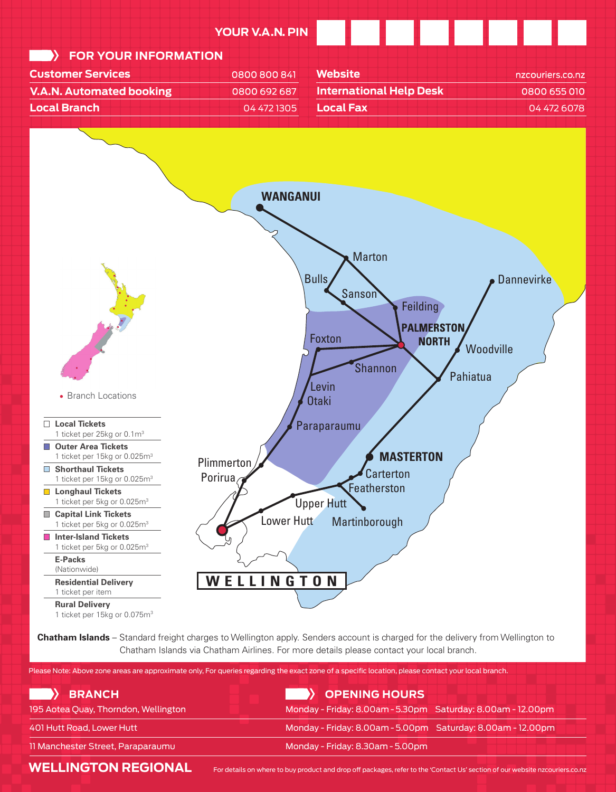

**Chatham Islands** – Standard freight charges to Wellington apply. Senders account is charged for the delivery from Wellington to Chatham Islands via Chatham Airlines. For more details please contact your local branch.

Please Note: Above zone areas are approximate only, For queries regarding the exact zone of a specific location, please contact your local branch.

| <b>BRANCH</b>                        | OPENING HOURS                                               |
|--------------------------------------|-------------------------------------------------------------|
| 195 Aotea Quay, Thorndon, Wellington | Monday - Friday: 8.00am - 5.30pm Saturday: 8.00am - 12.00pm |
| 401 Hutt Road, Lower Hutt            | Monday - Friday: 8.00am - 5.00pm Saturday: 8.00am - 12.00pm |
| 11 Manchester Street, Paraparaumu    | Monday - Friday: 8.30am - 5.00pm                            |

**WELLINGTON REGIONAL** 

For details on where to buy product and drop off packages, refer to the 'Contact Us' section of our website nzcouriers.co.nz